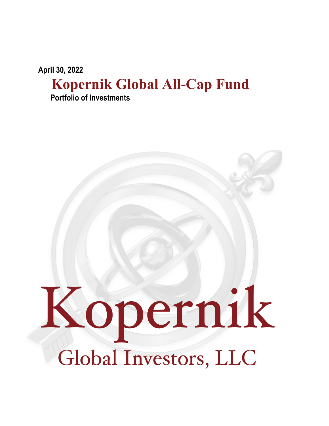**April 30, 2022**

## **Kopernik Global All-Cap Fund Portfolio of Investments**